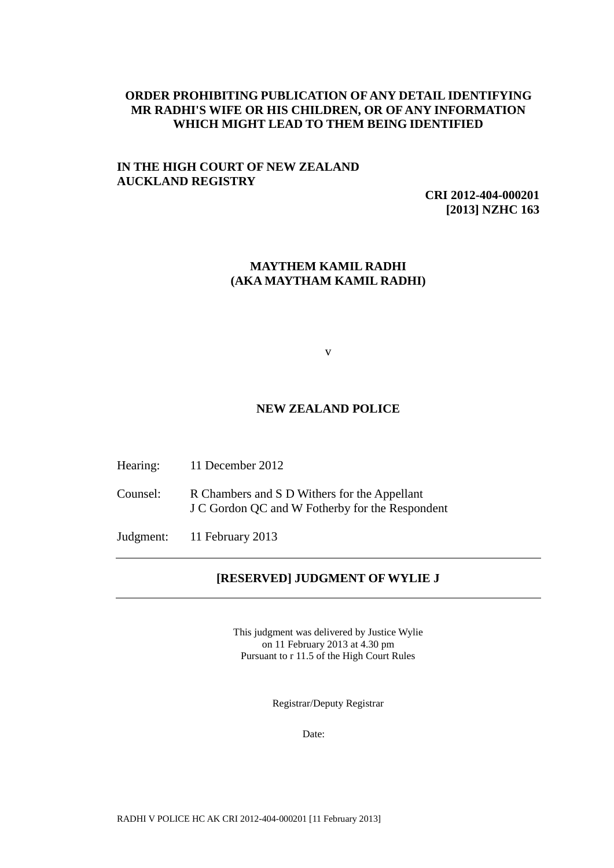## **ORDER PROHIBITING PUBLICATION OF ANY DETAIL IDENTIFYING MR RADHI'S WIFE OR HIS CHILDREN, OR OF ANY INFORMATION WHICH MIGHT LEAD TO THEM BEING IDENTIFIED**

# **IN THE HIGH COURT OF NEW ZEALAND AUCKLAND REGISTRY**

**CRI 2012-404-000201 [2013] NZHC 163**

## **MAYTHEM KAMIL RADHI (AKA MAYTHAM KAMIL RADHI)**

v

#### **NEW ZEALAND POLICE**

- Hearing: 11 December 2012
- Counsel: R Chambers and S D Withers for the Appellant J C Gordon QC and W Fotherby for the Respondent
- Judgment: 11 February 2013

## **[RESERVED] JUDGMENT OF WYLIE J**

This judgment was delivered by Justice Wylie on 11 February 2013 at 4.30 pm Pursuant to r 11.5 of the High Court Rules

Registrar/Deputy Registrar

Date: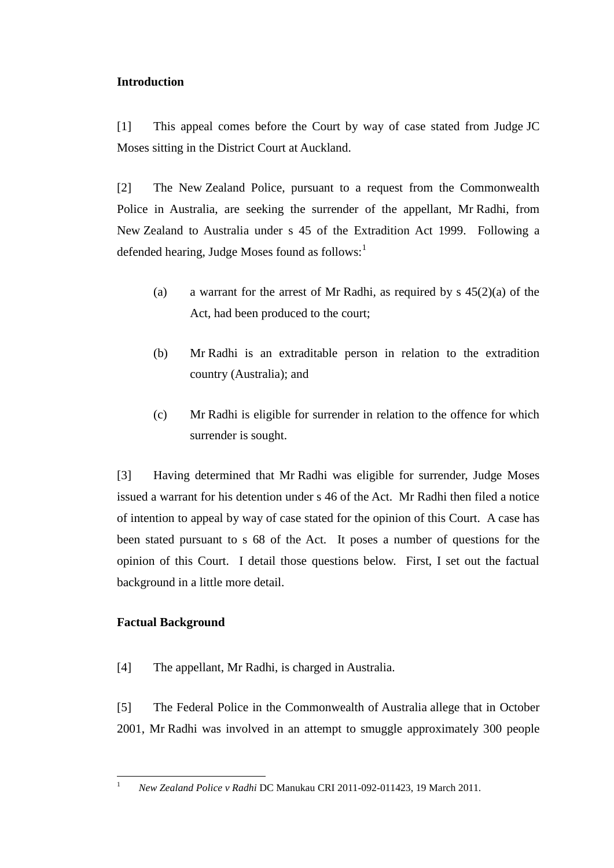# **Introduction**

[1] This appeal comes before the Court by way of case stated from Judge JC Moses sitting in the District Court at Auckland.

[2] The New Zealand Police, pursuant to a request from the Commonwealth Police in Australia, are seeking the surrender of the appellant, Mr Radhi, from New Zealand to Australia under s 45 of the Extradition Act 1999. Following a defended hearing, Judge Moses found as follows: $<sup>1</sup>$ </sup>

- (a) a warrant for the arrest of Mr Radhi, as required by s  $45(2)(a)$  of the Act, had been produced to the court;
- (b) Mr Radhi is an extraditable person in relation to the extradition country (Australia); and
- (c) Mr Radhi is eligible for surrender in relation to the offence for which surrender is sought.

[3] Having determined that Mr Radhi was eligible for surrender, Judge Moses issued a warrant for his detention under s 46 of the Act. Mr Radhi then filed a notice of intention to appeal by way of case stated for the opinion of this Court. A case has been stated pursuant to s 68 of the Act. It poses a number of questions for the opinion of this Court. I detail those questions below. First, I set out the factual background in a little more detail.

# **Factual Background**

 $\mathbf{1}$ 

[4] The appellant, Mr Radhi, is charged in Australia.

[5] The Federal Police in the Commonwealth of Australia allege that in October 2001, Mr Radhi was involved in an attempt to smuggle approximately 300 people

<sup>1</sup> *New Zealand Police v Radhi* DC Manukau CRI 2011-092-011423, 19 March 2011.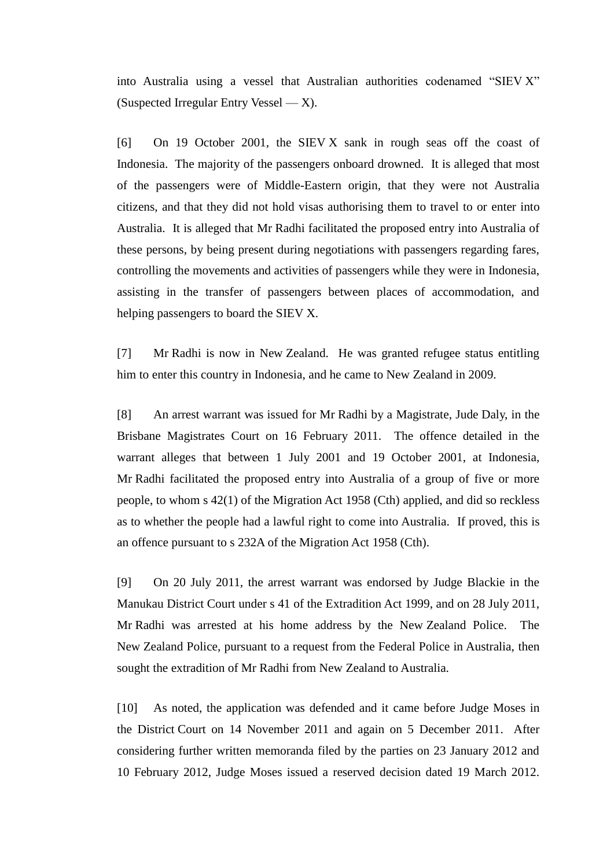into Australia using a vessel that Australian authorities codenamed "SIEV X" (Suspected Irregular Entry Vessel  $-X$ ).

[6] On 19 October 2001, the SIEV X sank in rough seas off the coast of Indonesia. The majority of the passengers onboard drowned. It is alleged that most of the passengers were of Middle-Eastern origin, that they were not Australia citizens, and that they did not hold visas authorising them to travel to or enter into Australia. It is alleged that Mr Radhi facilitated the proposed entry into Australia of these persons, by being present during negotiations with passengers regarding fares, controlling the movements and activities of passengers while they were in Indonesia, assisting in the transfer of passengers between places of accommodation, and helping passengers to board the SIEV X.

[7] Mr Radhi is now in New Zealand. He was granted refugee status entitling him to enter this country in Indonesia, and he came to New Zealand in 2009.

[8] An arrest warrant was issued for Mr Radhi by a Magistrate, Jude Daly, in the Brisbane Magistrates Court on 16 February 2011. The offence detailed in the warrant alleges that between 1 July 2001 and 19 October 2001, at Indonesia, Mr Radhi facilitated the proposed entry into Australia of a group of five or more people, to whom s 42(1) of the Migration Act 1958 (Cth) applied, and did so reckless as to whether the people had a lawful right to come into Australia. If proved, this is an offence pursuant to s 232A of the Migration Act 1958 (Cth).

[9] On 20 July 2011, the arrest warrant was endorsed by Judge Blackie in the Manukau District Court under s 41 of the Extradition Act 1999, and on 28 July 2011, Mr Radhi was arrested at his home address by the New Zealand Police. The New Zealand Police, pursuant to a request from the Federal Police in Australia, then sought the extradition of Mr Radhi from New Zealand to Australia.

[10] As noted, the application was defended and it came before Judge Moses in the District Court on 14 November 2011 and again on 5 December 2011. After considering further written memoranda filed by the parties on 23 January 2012 and 10 February 2012, Judge Moses issued a reserved decision dated 19 March 2012.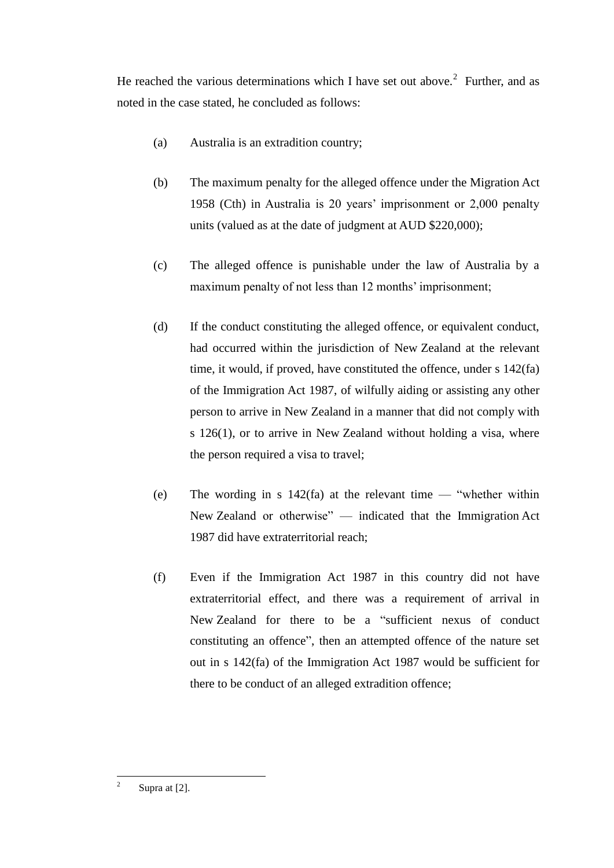He reached the various determinations which I have set out above.<sup>2</sup> Further, and as noted in the case stated, he concluded as follows:

- (a) Australia is an extradition country;
- (b) The maximum penalty for the alleged offence under the Migration Act 1958 (Cth) in Australia is 20 years' imprisonment or 2,000 penalty units (valued as at the date of judgment at AUD \$220,000);
- (c) The alleged offence is punishable under the law of Australia by a maximum penalty of not less than 12 months' imprisonment;
- (d) If the conduct constituting the alleged offence, or equivalent conduct, had occurred within the jurisdiction of New Zealand at the relevant time, it would, if proved, have constituted the offence, under s 142(fa) of the Immigration Act 1987, of wilfully aiding or assisting any other person to arrive in New Zealand in a manner that did not comply with s 126(1), or to arrive in New Zealand without holding a visa, where the person required a visa to travel;
- (e) The wording in s  $142(fa)$  at the relevant time "whether within New Zealand or otherwise" — indicated that the Immigration Act 1987 did have extraterritorial reach;
- (f) Even if the Immigration Act 1987 in this country did not have extraterritorial effect, and there was a requirement of arrival in New Zealand for there to be a "sufficient nexus of conduct constituting an offence", then an attempted offence of the nature set out in s 142(fa) of the Immigration Act 1987 would be sufficient for there to be conduct of an alleged extradition offence;

 $\frac{1}{2}$ Supra at [2].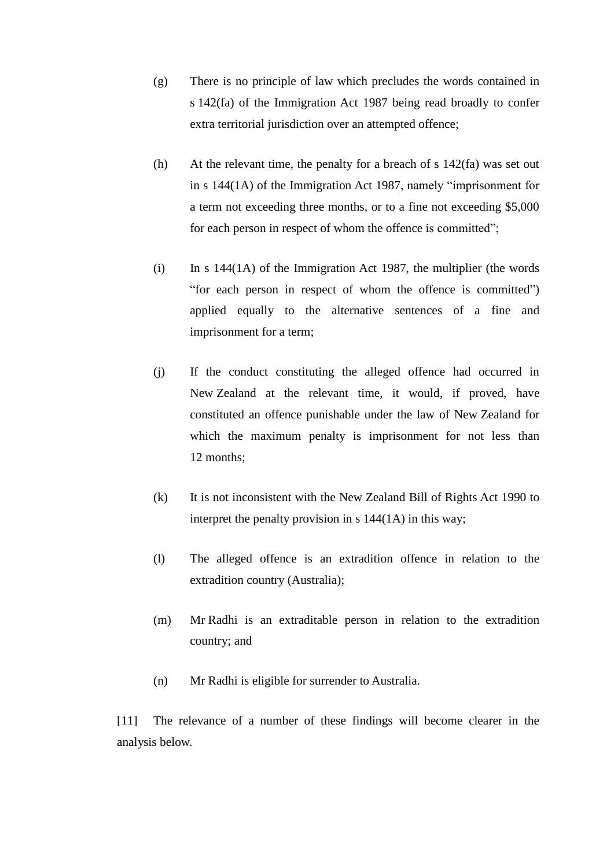- (g) There is no principle of law which precludes the words contained in s 142(fa) of the Immigration Act 1987 being read broadly to confer extra territorial jurisdiction over an attempted offence;
- (h) At the relevant time, the penalty for a breach of s 142(fa) was set out in s 144(1A) of the Immigration Act 1987, namely "imprisonment for a term not exceeding three months, or to a fine not exceeding \$5,000 for each person in respect of whom the offence is committed";
- $(i)$  In s 144(1A) of the Immigration Act 1987, the multiplier (the words "for each person in respect of whom the offence is committed") applied equally to the alternative sentences of a fine and imprisonment for a term;
- (j) If the conduct constituting the alleged offence had occurred in New Zealand at the relevant time, it would, if proved, have constituted an offence punishable under the law of New Zealand for which the maximum penalty is imprisonment for not less than 12 months;
- (k) It is not inconsistent with the New Zealand Bill of Rights Act 1990 to interpret the penalty provision in s 144(1A) in this way;
- (l) The alleged offence is an extradition offence in relation to the extradition country (Australia);
- (m) Mr Radhi is an extraditable person in relation to the extradition country; and
- (n) Mr Radhi is eligible for surrender to Australia.

[11] The relevance of a number of these findings will become clearer in the analysis below.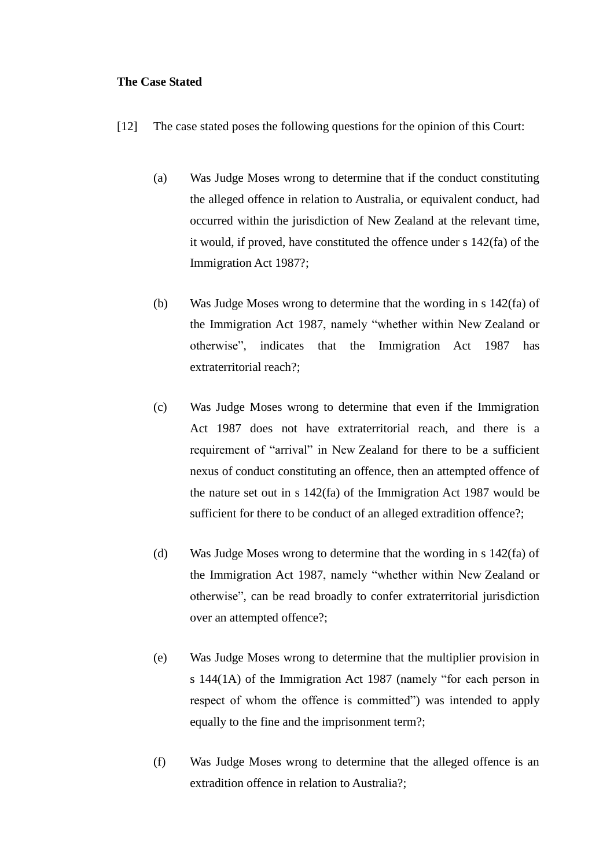### **The Case Stated**

- [12] The case stated poses the following questions for the opinion of this Court:
	- (a) Was Judge Moses wrong to determine that if the conduct constituting the alleged offence in relation to Australia, or equivalent conduct, had occurred within the jurisdiction of New Zealand at the relevant time, it would, if proved, have constituted the offence under s 142(fa) of the Immigration Act 1987?;
	- (b) Was Judge Moses wrong to determine that the wording in s 142(fa) of the Immigration Act 1987, namely "whether within New Zealand or otherwise", indicates that the Immigration Act 1987 has extraterritorial reach?;
	- (c) Was Judge Moses wrong to determine that even if the Immigration Act 1987 does not have extraterritorial reach, and there is a requirement of "arrival" in New Zealand for there to be a sufficient nexus of conduct constituting an offence, then an attempted offence of the nature set out in s 142(fa) of the Immigration Act 1987 would be sufficient for there to be conduct of an alleged extradition offence?;
	- (d) Was Judge Moses wrong to determine that the wording in s 142(fa) of the Immigration Act 1987, namely "whether within New Zealand or otherwise", can be read broadly to confer extraterritorial jurisdiction over an attempted offence?;
	- (e) Was Judge Moses wrong to determine that the multiplier provision in s 144(1A) of the Immigration Act 1987 (namely "for each person in respect of whom the offence is committed") was intended to apply equally to the fine and the imprisonment term?;
	- (f) Was Judge Moses wrong to determine that the alleged offence is an extradition offence in relation to Australia?;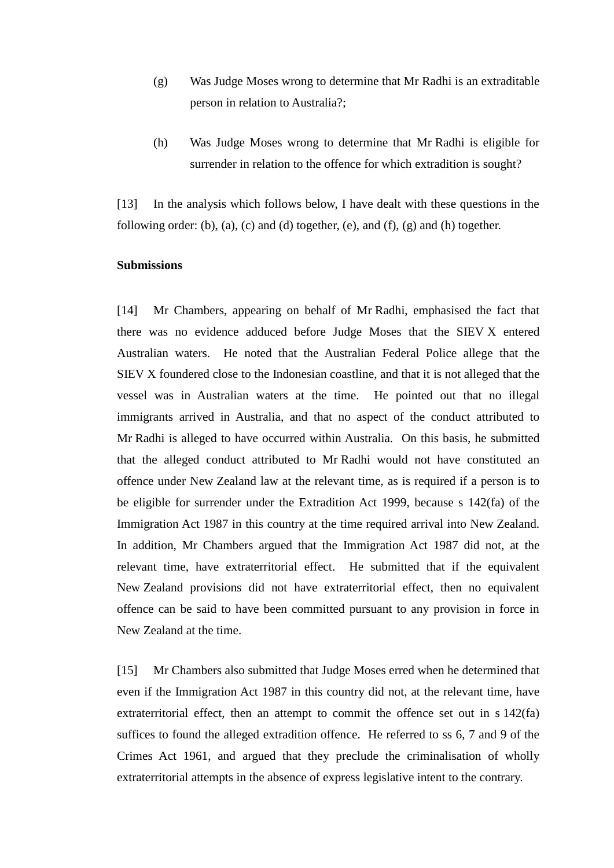- (g) Was Judge Moses wrong to determine that Mr Radhi is an extraditable person in relation to Australia?;
- (h) Was Judge Moses wrong to determine that Mr Radhi is eligible for surrender in relation to the offence for which extradition is sought?

[13] In the analysis which follows below, I have dealt with these questions in the following order: (b), (a), (c) and (d) together, (e), and (f), (g) and (h) together.

### **Submissions**

[14] Mr Chambers, appearing on behalf of Mr Radhi, emphasised the fact that there was no evidence adduced before Judge Moses that the SIEV X entered Australian waters. He noted that the Australian Federal Police allege that the SIEV X foundered close to the Indonesian coastline, and that it is not alleged that the vessel was in Australian waters at the time. He pointed out that no illegal immigrants arrived in Australia, and that no aspect of the conduct attributed to Mr Radhi is alleged to have occurred within Australia. On this basis, he submitted that the alleged conduct attributed to Mr Radhi would not have constituted an offence under New Zealand law at the relevant time, as is required if a person is to be eligible for surrender under the Extradition Act 1999, because s 142(fa) of the Immigration Act 1987 in this country at the time required arrival into New Zealand. In addition, Mr Chambers argued that the Immigration Act 1987 did not, at the relevant time, have extraterritorial effect. He submitted that if the equivalent New Zealand provisions did not have extraterritorial effect, then no equivalent offence can be said to have been committed pursuant to any provision in force in New Zealand at the time.

[15] Mr Chambers also submitted that Judge Moses erred when he determined that even if the Immigration Act 1987 in this country did not, at the relevant time, have extraterritorial effect, then an attempt to commit the offence set out in s 142(fa) suffices to found the alleged extradition offence. He referred to ss 6, 7 and 9 of the Crimes Act 1961, and argued that they preclude the criminalisation of wholly extraterritorial attempts in the absence of express legislative intent to the contrary.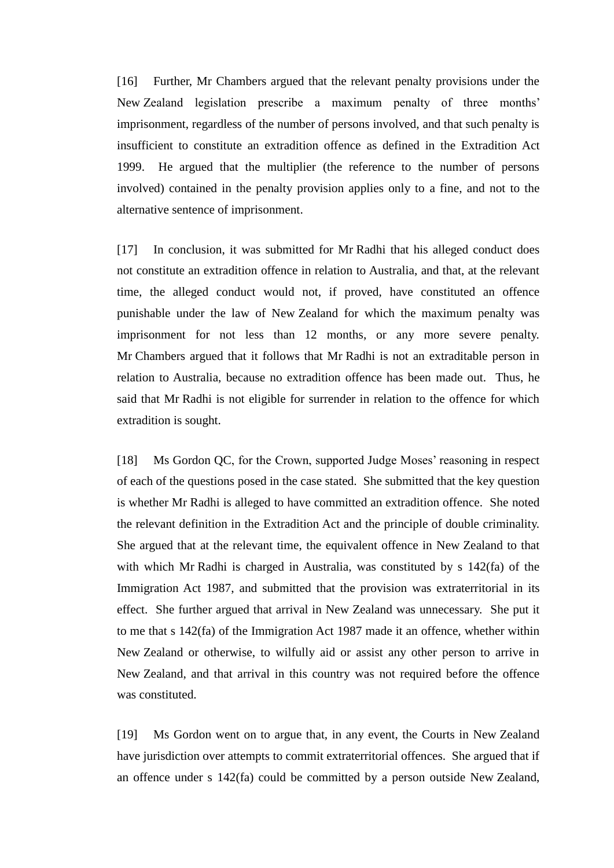[16] Further, Mr Chambers argued that the relevant penalty provisions under the New Zealand legislation prescribe a maximum penalty of three months' imprisonment, regardless of the number of persons involved, and that such penalty is insufficient to constitute an extradition offence as defined in the Extradition Act 1999. He argued that the multiplier (the reference to the number of persons involved) contained in the penalty provision applies only to a fine, and not to the alternative sentence of imprisonment.

[17] In conclusion, it was submitted for Mr Radhi that his alleged conduct does not constitute an extradition offence in relation to Australia, and that, at the relevant time, the alleged conduct would not, if proved, have constituted an offence punishable under the law of New Zealand for which the maximum penalty was imprisonment for not less than 12 months, or any more severe penalty. Mr Chambers argued that it follows that Mr Radhi is not an extraditable person in relation to Australia, because no extradition offence has been made out. Thus, he said that Mr Radhi is not eligible for surrender in relation to the offence for which extradition is sought.

[18] Ms Gordon QC, for the Crown, supported Judge Moses' reasoning in respect of each of the questions posed in the case stated. She submitted that the key question is whether Mr Radhi is alleged to have committed an extradition offence. She noted the relevant definition in the Extradition Act and the principle of double criminality. She argued that at the relevant time, the equivalent offence in New Zealand to that with which Mr Radhi is charged in Australia, was constituted by s 142(fa) of the Immigration Act 1987, and submitted that the provision was extraterritorial in its effect. She further argued that arrival in New Zealand was unnecessary. She put it to me that s 142(fa) of the Immigration Act 1987 made it an offence, whether within New Zealand or otherwise, to wilfully aid or assist any other person to arrive in New Zealand, and that arrival in this country was not required before the offence was constituted.

[19] Ms Gordon went on to argue that, in any event, the Courts in New Zealand have jurisdiction over attempts to commit extraterritorial offences. She argued that if an offence under s 142(fa) could be committed by a person outside New Zealand,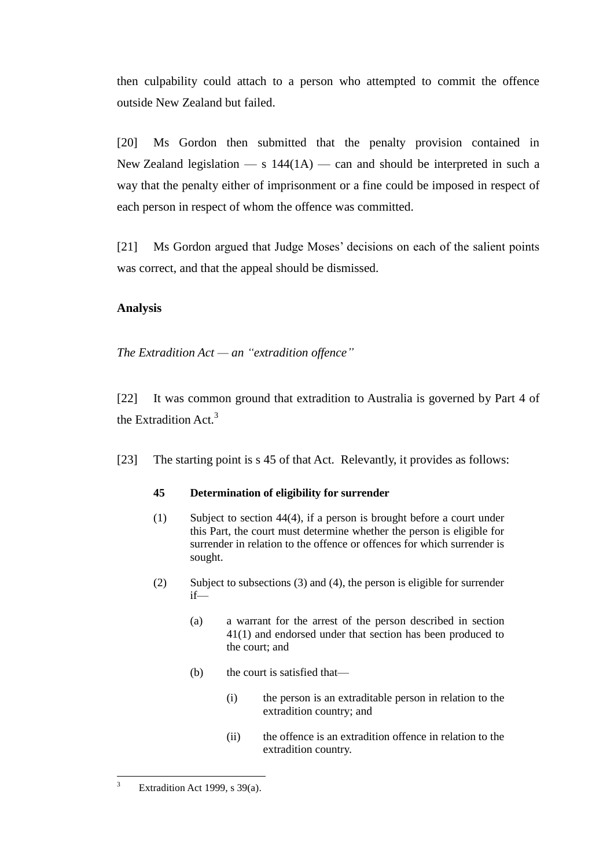then culpability could attach to a person who attempted to commit the offence outside New Zealand but failed.

[20] Ms Gordon then submitted that the penalty provision contained in New Zealand legislation  $\overline{\phantom{a}}$  s 144(1A)  $\overline{\phantom{a}}$  and should be interpreted in such a way that the penalty either of imprisonment or a fine could be imposed in respect of each person in respect of whom the offence was committed.

[21] Ms Gordon argued that Judge Moses' decisions on each of the salient points was correct, and that the appeal should be dismissed.

# **Analysis**

*The Extradition Act — an "extradition offence"*

[22] It was common ground that extradition to Australia is governed by Part 4 of the Extradition Act. $3$ 

[23] The starting point is s 45 of that Act. Relevantly, it provides as follows:

## **45 Determination of eligibility for surrender**

- (1) Subject to [section 44\(4\),](http://www.legislation.govt.nz/act/public/1999/0055/latest/link.aspx?id=DLM26284) if a person is brought before a court under this Part, the court must determine whether the person is eligible for surrender in relation to the offence or offences for which surrender is sought.
- (2) Subject to subsections (3) and (4), the person is eligible for surrender if—
	- (a) a warrant for the arrest of the person described in [section](http://www.legislation.govt.nz/act/public/1999/0055/latest/link.aspx?id=DLM26273)  [41\(1\)](http://www.legislation.govt.nz/act/public/1999/0055/latest/link.aspx?id=DLM26273) and endorsed under that section has been produced to the court; and
	- (b) the court is satisfied that—
		- (i) the person is an extraditable person in relation to the extradition country; and
		- (ii) the offence is an extradition offence in relation to the extradition country.

 $\sqrt{3}$ Extradition Act 1999, s 39(a).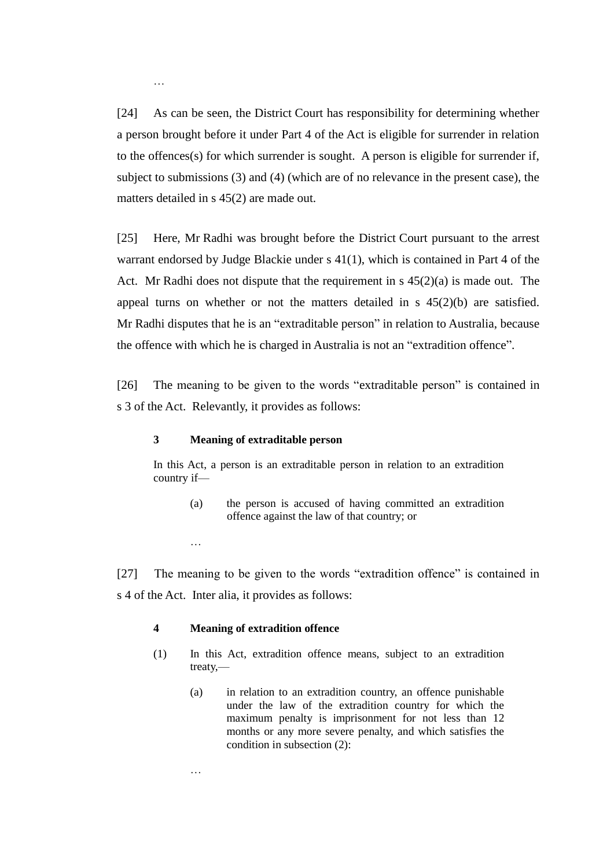[24] As can be seen, the District Court has responsibility for determining whether a person brought before it under Part 4 of the Act is eligible for surrender in relation to the offences(s) for which surrender is sought. A person is eligible for surrender if, subject to submissions (3) and (4) (which are of no relevance in the present case), the matters detailed in s 45(2) are made out.

[25] Here, Mr Radhi was brought before the District Court pursuant to the arrest warrant endorsed by Judge Blackie under s 41(1), which is contained in Part 4 of the Act. Mr Radhi does not dispute that the requirement in s 45(2)(a) is made out. The appeal turns on whether or not the matters detailed in s 45(2)(b) are satisfied. Mr Radhi disputes that he is an "extraditable person" in relation to Australia, because the offence with which he is charged in Australia is not an "extradition offence".

[26] The meaning to be given to the words "extraditable person" is contained in s 3 of the Act. Relevantly, it provides as follows:

#### **3 Meaning of extraditable person**

In this Act, a person is an extraditable person in relation to an extradition country if—

(a) the person is accused of having committed an extradition offence against the law of that country; or

[27] The meaning to be given to the words "extradition offence" is contained in s 4 of the Act. Inter alia, it provides as follows:

#### **4 Meaning of extradition offence**

…

…

- (1) In this Act, extradition offence means, subject to an extradition treaty,—
	- (a) in relation to an extradition country, an offence punishable under the law of the extradition country for which the maximum penalty is imprisonment for not less than 12 months or any more severe penalty, and which satisfies the condition in subsection (2):

…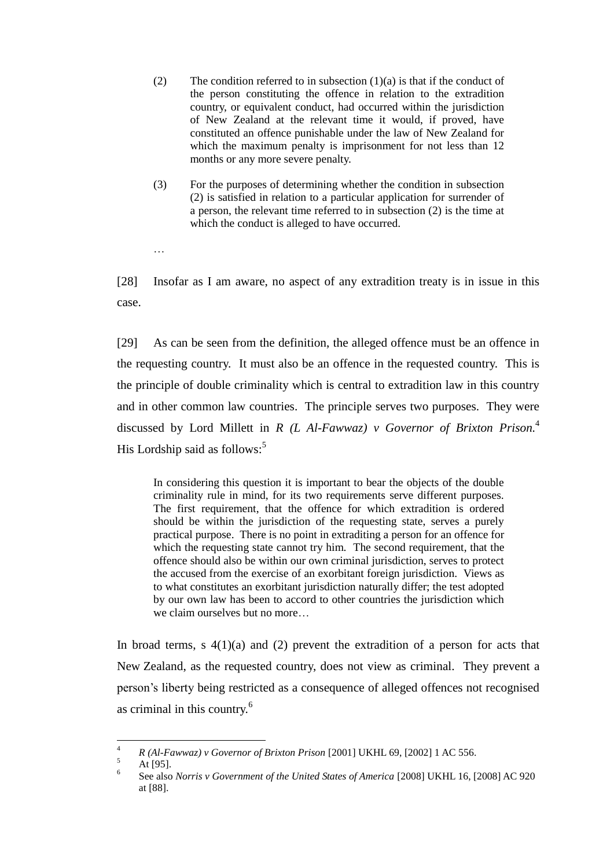- (2) The condition referred to in subsection  $(1)(a)$  is that if the conduct of the person constituting the offence in relation to the extradition country, or equivalent conduct, had occurred within the jurisdiction of New Zealand at the relevant time it would, if proved, have constituted an offence punishable under the law of New Zealand for which the maximum penalty is imprisonment for not less than 12 months or any more severe penalty.
- (3) For the purposes of determining whether the condition in subsection (2) is satisfied in relation to a particular application for surrender of a person, the relevant time referred to in subsection (2) is the time at which the conduct is alleged to have occurred.
- …

[28] Insofar as I am aware, no aspect of any extradition treaty is in issue in this case.

[29] As can be seen from the definition, the alleged offence must be an offence in the requesting country. It must also be an offence in the requested country. This is the principle of double criminality which is central to extradition law in this country and in other common law countries. The principle serves two purposes. They were discussed by Lord Millett in *R (L Al-Fawwaz) v Governor of Brixton Prison.* 4 His Lordship said as follows: $5$ 

In considering this question it is important to bear the objects of the double criminality rule in mind, for its two requirements serve different purposes. The first requirement, that the offence for which extradition is ordered should be within the jurisdiction of the requesting state, serves a purely practical purpose. There is no point in extraditing a person for an offence for which the requesting state cannot try him. The second requirement, that the offence should also be within our own criminal jurisdiction, serves to protect the accused from the exercise of an exorbitant foreign jurisdiction. Views as to what constitutes an exorbitant jurisdiction naturally differ; the test adopted by our own law has been to accord to other countries the jurisdiction which we claim ourselves but no more…

In broad terms, s  $4(1)(a)$  and (2) prevent the extradition of a person for acts that New Zealand, as the requested country, does not view as criminal. They prevent a person's liberty being restricted as a consequence of alleged offences not recognised as criminal in this country.<sup>6</sup>

 $\overline{4}$ <sup>4</sup> *R (Al-Fawwaz) v Governor of Brixton Prison* [2001] UKHL 69, [2002] 1 AC 556.

At [95].

<sup>6</sup> See also *Norris v Government of the United States of America* [2008] UKHL 16, [2008] AC 920 at [88].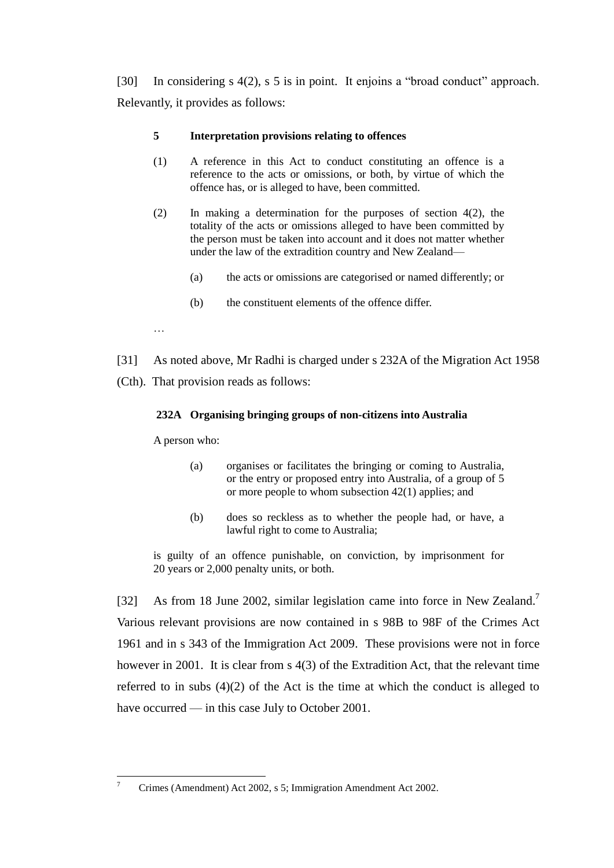[30] In considering s 4(2), s 5 is in point. It enjoins a "broad conduct" approach. Relevantly, it provides as follows:

## **5 Interpretation provisions relating to offences**

- (1) A reference in this Act to conduct constituting an offence is a reference to the acts or omissions, or both, by virtue of which the offence has, or is alleged to have, been committed.
- (2) In making a determination for the purposes of [section 4\(2\),](http://www.legislation.govt.nz/act/public/1999/0055/latest/link.aspx?id=DLM25681) the totality of the acts or omissions alleged to have been committed by the person must be taken into account and it does not matter whether under the law of the extradition country and New Zealand—
	- (a) the acts or omissions are categorised or named differently; or
	- (b) the constituent elements of the offence differ.
- …
- [31] As noted above, Mr Radhi is charged under s 232A of the Migration Act 1958 (Cth). That provision reads as follows:

## **232A Organising bringing groups of non-citizens into Australia**

A person who:

- (a) organises or facilitates the bringing or coming to Australia, or the entry or proposed entry into Australia, of a group of 5 or more people to whom subsection 42(1) applies; and
- (b) does so reckless as to whether the people had, or have, a lawful right to come to Australia;

is guilty of an offence punishable, on conviction, by imprisonment for 20 years or 2,000 penalty units, or both.

[32] As from 18 June 2002, similar legislation came into force in New Zealand.<sup>7</sup> Various relevant provisions are now contained in s 98B to 98F of the Crimes Act 1961 and in s 343 of the Immigration Act 2009. These provisions were not in force however in 2001. It is clear from s 4(3) of the Extradition Act, that the relevant time referred to in subs (4)(2) of the Act is the time at which the conduct is alleged to have occurred — in this case July to October 2001.

 $\overline{7}$ <sup>7</sup> Crimes (Amendment) Act 2002, s 5; Immigration Amendment Act 2002.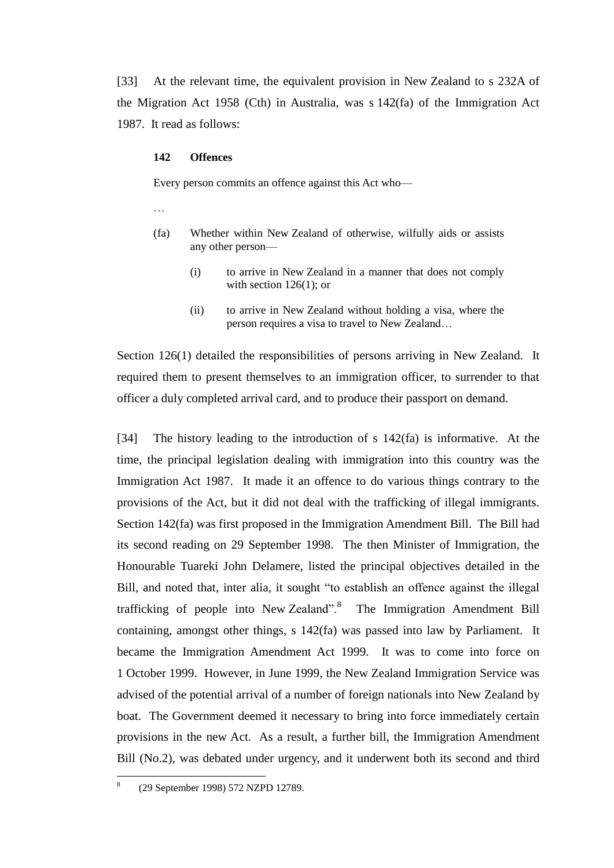[33] At the relevant time, the equivalent provision in New Zealand to s 232A of the Migration Act 1958 (Cth) in Australia, was s 142(fa) of the Immigration Act 1987. It read as follows:

#### **142 Offences**

Every person commits an offence against this Act who—

…

- (fa) Whether within New Zealand of otherwise, wilfully aids or assists any other person—
	- (i) to arrive in New Zealand in a manner that does not comply with section  $126(1)$ ; or
	- (ii) to arrive in New Zealand without holding a visa, where the person requires a visa to travel to New Zealand…

Section 126(1) detailed the responsibilities of persons arriving in New Zealand. It required them to present themselves to an immigration officer, to surrender to that officer a duly completed arrival card, and to produce their passport on demand.

[34] The history leading to the introduction of s 142(fa) is informative. At the time, the principal legislation dealing with immigration into this country was the Immigration Act 1987. It made it an offence to do various things contrary to the provisions of the Act, but it did not deal with the trafficking of illegal immigrants. Section 142(fa) was first proposed in the Immigration Amendment Bill. The Bill had its second reading on 29 September 1998. The then Minister of Immigration, the Honourable Tuareki John Delamere, listed the principal objectives detailed in the Bill, and noted that, inter alia, it sought "to establish an offence against the illegal trafficking of people into New Zealand".<sup>8</sup> The Immigration Amendment Bill containing, amongst other things, s 142(fa) was passed into law by Parliament. It became the Immigration Amendment Act 1999. It was to come into force on 1 October 1999. However, in June 1999, the New Zealand Immigration Service was advised of the potential arrival of a number of foreign nationals into New Zealand by boat. The Government deemed it necessary to bring into force immediately certain provisions in the new Act. As a result, a further bill, the Immigration Amendment Bill (No.2), was debated under urgency, and it underwent both its second and third

 $\frac{1}{8}$ (29 September 1998) 572 NZPD 12789.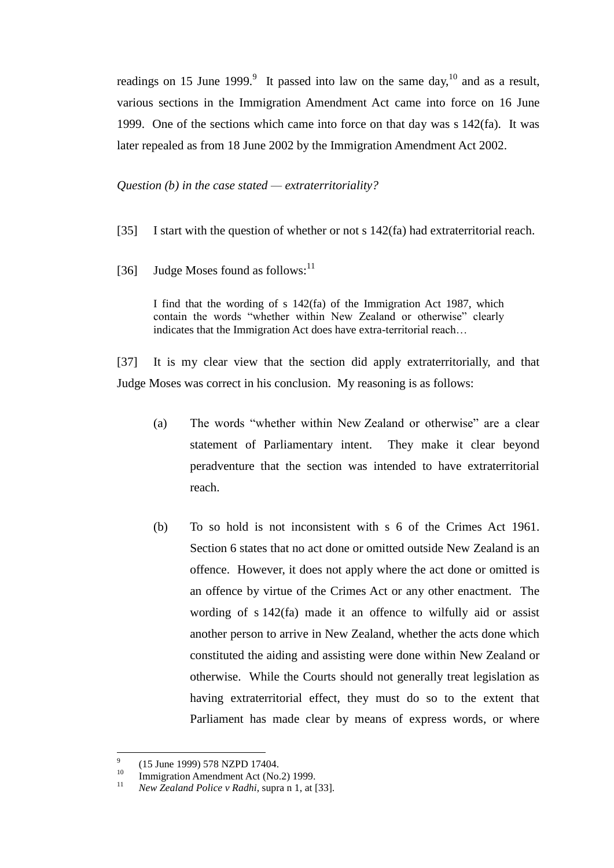readings on 15 June 1999.<sup>9</sup> It passed into law on the same day,<sup>10</sup> and as a result, various sections in the Immigration Amendment Act came into force on 16 June 1999. One of the sections which came into force on that day was s 142(fa). It was later repealed as from 18 June 2002 by the Immigration Amendment Act 2002.

*Question (b) in the case stated — extraterritoriality?*

- [35] I start with the question of whether or not s 142(fa) had extraterritorial reach.
- [36] Judge Moses found as follows: $^{11}$

I find that the wording of s 142(fa) of the Immigration Act 1987, which contain the words "whether within New Zealand or otherwise" clearly indicates that the Immigration Act does have extra-territorial reach…

[37] It is my clear view that the section did apply extraterritorially, and that Judge Moses was correct in his conclusion. My reasoning is as follows:

- (a) The words "whether within New Zealand or otherwise" are a clear statement of Parliamentary intent. They make it clear beyond peradventure that the section was intended to have extraterritorial reach.
- (b) To so hold is not inconsistent with s 6 of the Crimes Act 1961. Section 6 states that no act done or omitted outside New Zealand is an offence. However, it does not apply where the act done or omitted is an offence by virtue of the Crimes Act or any other enactment. The wording of s 142(fa) made it an offence to wilfully aid or assist another person to arrive in New Zealand, whether the acts done which constituted the aiding and assisting were done within New Zealand or otherwise. While the Courts should not generally treat legislation as having extraterritorial effect, they must do so to the extent that Parliament has made clear by means of express words, or where

<sup>-&</sup>lt;br>9 (15 June 1999) 578 NZPD 17404.

<sup>&</sup>lt;sup>10</sup> Immigration Amendment Act (No.2) 1999.

<sup>11</sup> *New Zealand Police v Radhi*, supra n 1, at [33].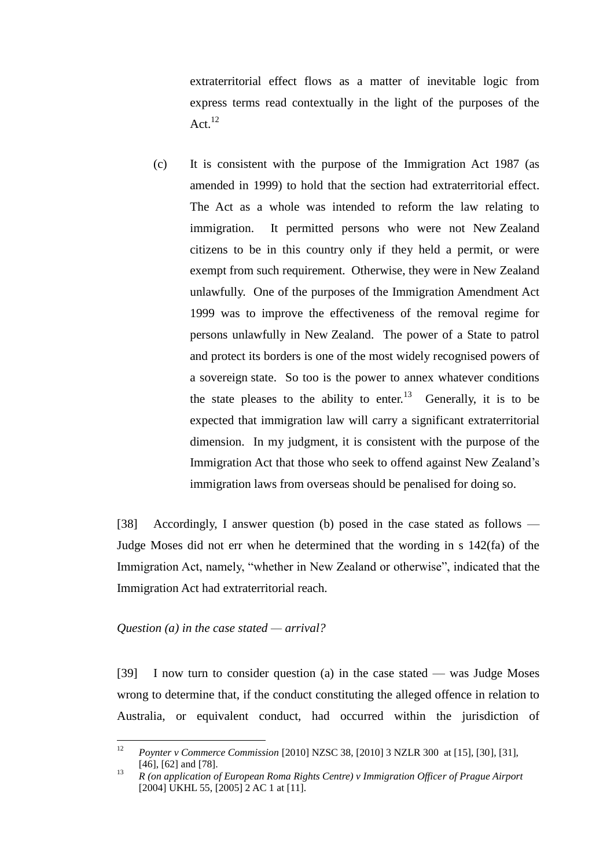extraterritorial effect flows as a matter of inevitable logic from express terms read contextually in the light of the purposes of the Act. 12

(c) It is consistent with the purpose of the Immigration Act 1987 (as amended in 1999) to hold that the section had extraterritorial effect. The Act as a whole was intended to reform the law relating to immigration. It permitted persons who were not New Zealand citizens to be in this country only if they held a permit, or were exempt from such requirement. Otherwise, they were in New Zealand unlawfully. One of the purposes of the Immigration Amendment Act 1999 was to improve the effectiveness of the removal regime for persons unlawfully in New Zealand. The power of a State to patrol and protect its borders is one of the most widely recognised powers of a sovereign state. So too is the power to annex whatever conditions the state pleases to the ability to enter.<sup>13</sup> Generally, it is to be expected that immigration law will carry a significant extraterritorial dimension. In my judgment, it is consistent with the purpose of the Immigration Act that those who seek to offend against New Zealand's immigration laws from overseas should be penalised for doing so.

[38] Accordingly, I answer question (b) posed in the case stated as follows — Judge Moses did not err when he determined that the wording in s 142(fa) of the Immigration Act, namely, "whether in New Zealand or otherwise", indicated that the Immigration Act had extraterritorial reach.

### *Question (a) in the case stated — arrival?*

[39] I now turn to consider question (a) in the case stated — was Judge Moses wrong to determine that, if the conduct constituting the alleged offence in relation to Australia, or equivalent conduct, had occurred within the jurisdiction of

 $12$ <sup>12</sup> *Poynter v Commerce Commission* [2010] NZSC 38, [2010] 3 NZLR 300 at [15], [30], [31], [46], [62] and [78].

<sup>13</sup> *R (on application of European Roma Rights Centre) v Immigration Officer of Prague Airport* [2004] UKHL 55, [2005] 2 AC 1 at [11].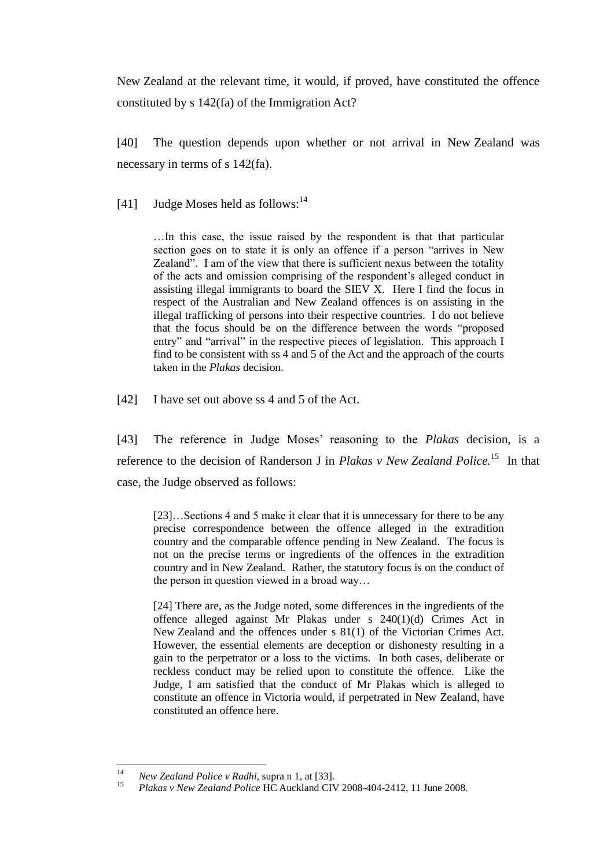New Zealand at the relevant time, it would, if proved, have constituted the offence constituted by s 142(fa) of the Immigration Act?

[40] The question depends upon whether or not arrival in New Zealand was necessary in terms of s 142(fa).

[41] Judge Moses held as follows: $^{14}$ 

…In this case, the issue raised by the respondent is that that particular section goes on to state it is only an offence if a person "arrives in New Zealand". I am of the view that there is sufficient nexus between the totality of the acts and omission comprising of the respondent's alleged conduct in assisting illegal immigrants to board the SIEV X. Here I find the focus in respect of the Australian and New Zealand offences is on assisting in the illegal trafficking of persons into their respective countries. I do not believe that the focus should be on the difference between the words "proposed entry" and "arrival" in the respective pieces of legislation. This approach I find to be consistent with ss 4 and 5 of the Act and the approach of the courts taken in the *Plakas* decision.

[42] I have set out above ss 4 and 5 of the Act.

[43] The reference in Judge Moses' reasoning to the *Plakas* decision, is a reference to the decision of Randerson J in *Plakas v New Zealand Police*.<sup>15</sup> In that case, the Judge observed as follows:

[23]...Sections 4 and 5 make it clear that it is unnecessary for there to be any precise correspondence between the offence alleged in the extradition country and the comparable offence pending in New Zealand. The focus is not on the precise terms or ingredients of the offences in the extradition country and in New Zealand. Rather, the statutory focus is on the conduct of the person in question viewed in a broad way…

[24] There are, as the Judge noted, some differences in the ingredients of the offence alleged against Mr Plakas under s 240(1)(d) Crimes Act in New Zealand and the offences under s 81(1) of the Victorian Crimes Act. However, the essential elements are deception or dishonesty resulting in a gain to the perpetrator or a loss to the victims. In both cases, deliberate or reckless conduct may be relied upon to constitute the offence. Like the Judge, I am satisfied that the conduct of Mr Plakas which is alleged to constitute an offence in Victoria would, if perpetrated in New Zealand, have constituted an offence here.

 $14$ <sup>14</sup> *New Zealand Police v Radhi*, supra n 1, at [33].

<sup>15</sup> *Plakas v New Zealand Police* HC Auckland CIV 2008-404-2412, 11 June 2008.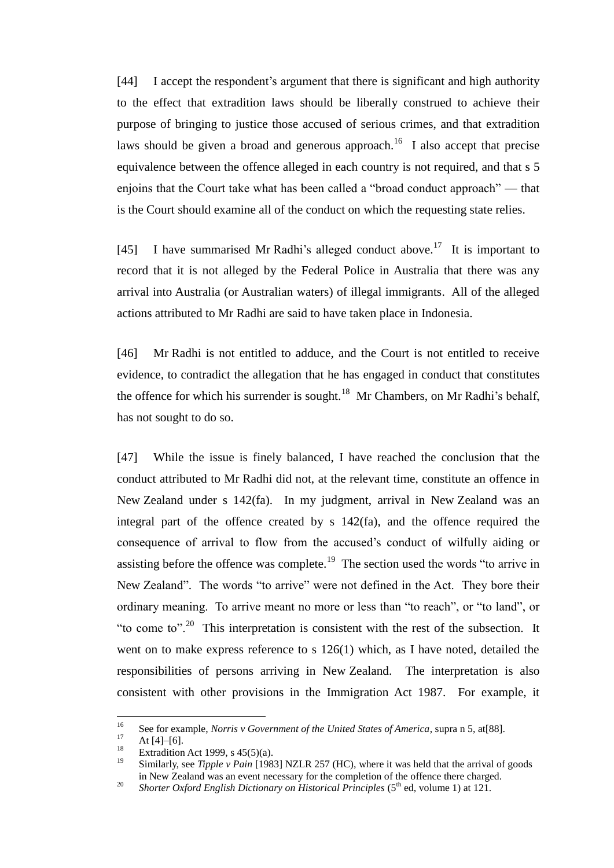[44] I accept the respondent's argument that there is significant and high authority to the effect that extradition laws should be liberally construed to achieve their purpose of bringing to justice those accused of serious crimes, and that extradition laws should be given a broad and generous approach.<sup>16</sup> I also accept that precise equivalence between the offence alleged in each country is not required, and that s 5 enjoins that the Court take what has been called a "broad conduct approach" — that is the Court should examine all of the conduct on which the requesting state relies.

[45] I have summarised Mr Radhi's alleged conduct above.<sup>17</sup> It is important to record that it is not alleged by the Federal Police in Australia that there was any arrival into Australia (or Australian waters) of illegal immigrants. All of the alleged actions attributed to Mr Radhi are said to have taken place in Indonesia.

[46] Mr Radhi is not entitled to adduce, and the Court is not entitled to receive evidence, to contradict the allegation that he has engaged in conduct that constitutes the offence for which his surrender is sought.<sup>18</sup> Mr Chambers, on Mr Radhi's behalf, has not sought to do so.

[47] While the issue is finely balanced, I have reached the conclusion that the conduct attributed to Mr Radhi did not, at the relevant time, constitute an offence in New Zealand under s 142(fa). In my judgment, arrival in New Zealand was an integral part of the offence created by s 142(fa), and the offence required the consequence of arrival to flow from the accused's conduct of wilfully aiding or assisting before the offence was complete.<sup>19</sup> The section used the words "to arrive in New Zealand". The words "to arrive" were not defined in the Act. They bore their ordinary meaning. To arrive meant no more or less than "to reach", or "to land", or "to come to".<sup>20</sup> This interpretation is consistent with the rest of the subsection. It went on to make express reference to s 126(1) which, as I have noted, detailed the responsibilities of persons arriving in New Zealand. The interpretation is also consistent with other provisions in the Immigration Act 1987. For example, it

<sup>16</sup> <sup>16</sup> See for example, *Norris v Government of the United States of America*, supra n 5, at[88].

 $17 \text{ At } [4]–[6].$ 

<sup>&</sup>lt;sup>18</sup> Extradition Act 1999, s 45(5)(a).<br><sup>19</sup> Similarly see Tingle y Rein 1108

<sup>19</sup> Similarly, see *Tipple v Pain* [1983] NZLR 257 (HC), where it was held that the arrival of goods in New Zealand was an event necessary for the completion of the offence there charged.

<sup>&</sup>lt;sup>20</sup> *Shorter Oxford English Dictionary on Historical Principles* ( $5<sup>th</sup>$  ed, volume 1) at 121.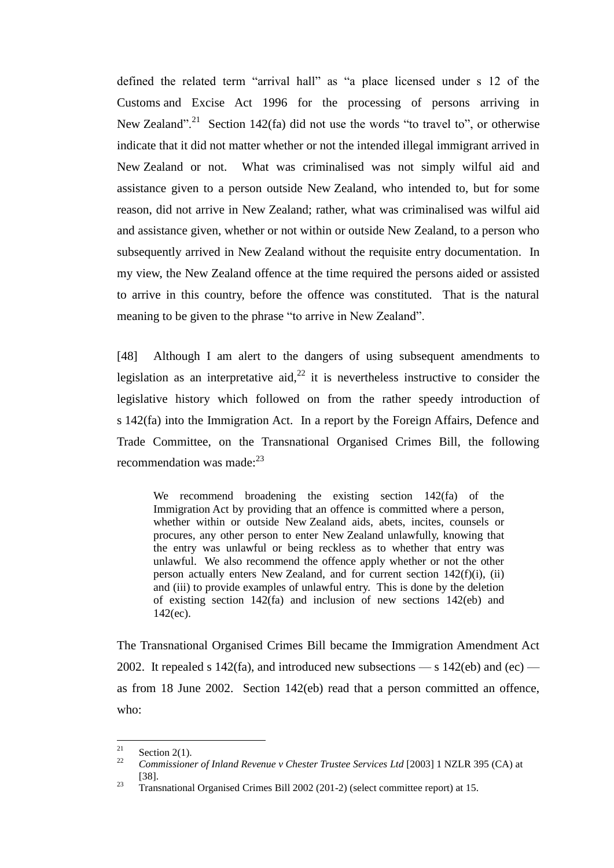defined the related term "arrival hall" as "a place licensed under s 12 of the Customs and Excise Act 1996 for the processing of persons arriving in New Zealand".<sup>21</sup> Section 142(fa) did not use the words "to travel to", or otherwise indicate that it did not matter whether or not the intended illegal immigrant arrived in New Zealand or not. What was criminalised was not simply wilful aid and assistance given to a person outside New Zealand, who intended to, but for some reason, did not arrive in New Zealand; rather, what was criminalised was wilful aid and assistance given, whether or not within or outside New Zealand, to a person who subsequently arrived in New Zealand without the requisite entry documentation. In my view, the New Zealand offence at the time required the persons aided or assisted to arrive in this country, before the offence was constituted. That is the natural meaning to be given to the phrase "to arrive in New Zealand".

[48] Although I am alert to the dangers of using subsequent amendments to legislation as an interpretative aid,  $2^2$  it is nevertheless instructive to consider the legislative history which followed on from the rather speedy introduction of s 142(fa) into the Immigration Act. In a report by the Foreign Affairs, Defence and Trade Committee, on the Transnational Organised Crimes Bill, the following recommendation was made: $23$ 

We recommend broadening the existing section 142(fa) of the Immigration Act by providing that an offence is committed where a person, whether within or outside New Zealand aids, abets, incites, counsels or procures, any other person to enter New Zealand unlawfully, knowing that the entry was unlawful or being reckless as to whether that entry was unlawful. We also recommend the offence apply whether or not the other person actually enters New Zealand, and for current section 142(f)(i), (ii) and (iii) to provide examples of unlawful entry. This is done by the deletion of existing section 142(fa) and inclusion of new sections 142(eb) and  $142$ (ec).

The Transnational Organised Crimes Bill became the Immigration Amendment Act 2002. It repealed s 142(fa), and introduced new subsections — s 142(eb) and (ec) as from 18 June 2002. Section 142(eb) read that a person committed an offence, who:

<sup>21</sup>  $\frac{21}{22}$  Section 2(1).

<sup>22</sup> *Commissioner of Inland Revenue v Chester Trustee Services Ltd* [2003] 1 NZLR 395 (CA) at [38].

<sup>&</sup>lt;sup>23</sup> Transnational Organised Crimes Bill 2002 (201-2) (select committee report) at 15.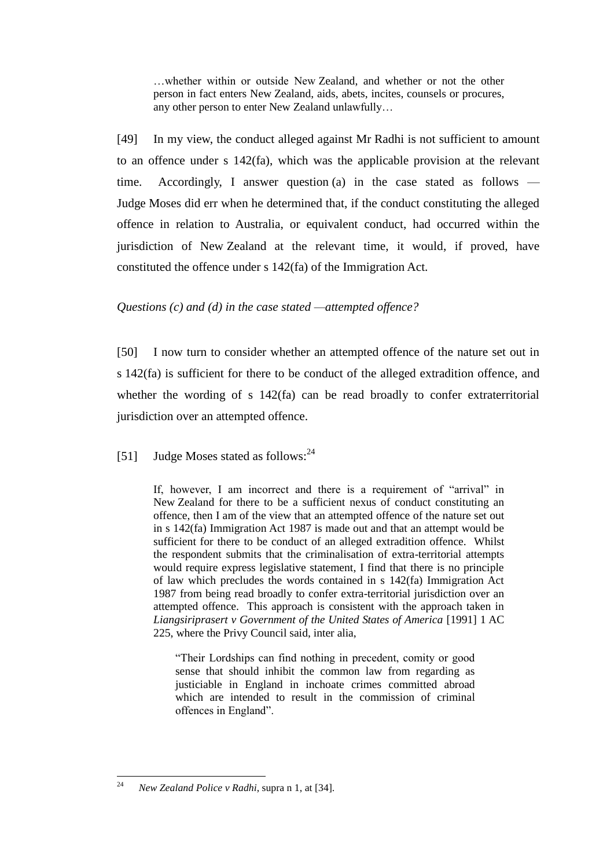…whether within or outside New Zealand, and whether or not the other person in fact enters New Zealand, aids, abets, incites, counsels or procures, any other person to enter New Zealand unlawfully…

[49] In my view, the conduct alleged against Mr Radhi is not sufficient to amount to an offence under s 142(fa), which was the applicable provision at the relevant time. Accordingly, I answer question (a) in the case stated as follows — Judge Moses did err when he determined that, if the conduct constituting the alleged offence in relation to Australia, or equivalent conduct, had occurred within the jurisdiction of New Zealand at the relevant time, it would, if proved, have constituted the offence under s 142(fa) of the Immigration Act.

## *Questions (c) and (d) in the case stated —attempted offence?*

[50] I now turn to consider whether an attempted offence of the nature set out in s 142(fa) is sufficient for there to be conduct of the alleged extradition offence, and whether the wording of s 142(fa) can be read broadly to confer extraterritorial jurisdiction over an attempted offence.

# [51] Judge Moses stated as follows: $^{24}$

If, however, I am incorrect and there is a requirement of "arrival" in New Zealand for there to be a sufficient nexus of conduct constituting an offence, then I am of the view that an attempted offence of the nature set out in s 142(fa) Immigration Act 1987 is made out and that an attempt would be sufficient for there to be conduct of an alleged extradition offence. Whilst the respondent submits that the criminalisation of extra-territorial attempts would require express legislative statement, I find that there is no principle of law which precludes the words contained in s 142(fa) Immigration Act 1987 from being read broadly to confer extra-territorial jurisdiction over an attempted offence. This approach is consistent with the approach taken in *Liangsiriprasert v Government of the United States of America* [1991] 1 AC 225, where the Privy Council said, inter alia,

"Their Lordships can find nothing in precedent, comity or good sense that should inhibit the common law from regarding as justiciable in England in inchoate crimes committed abroad which are intended to result in the commission of criminal offences in England".

<sup>24</sup> <sup>24</sup> *New Zealand Police v Radhi*, supra n 1, at [34].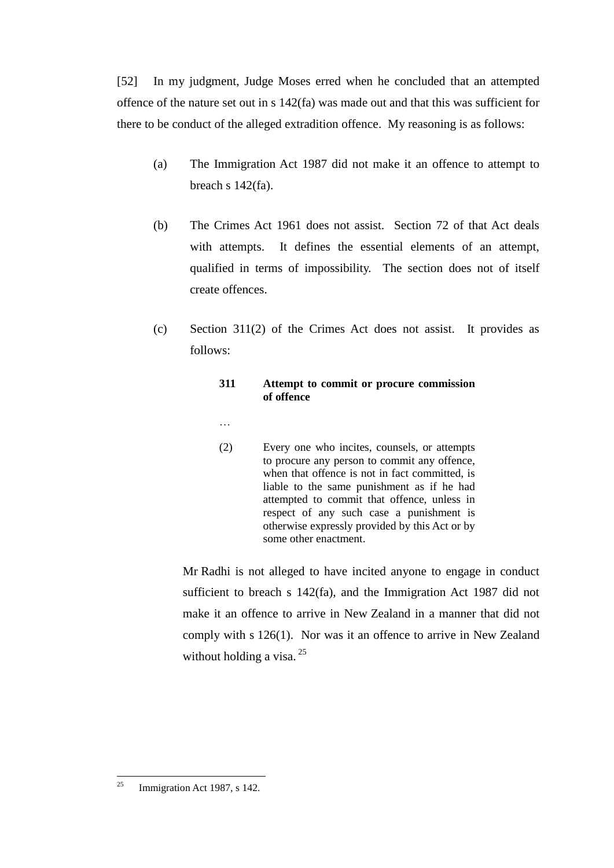[52] In my judgment, Judge Moses erred when he concluded that an attempted offence of the nature set out in s 142(fa) was made out and that this was sufficient for there to be conduct of the alleged extradition offence. My reasoning is as follows:

- (a) The Immigration Act 1987 did not make it an offence to attempt to breach s 142(fa).
- (b) The Crimes Act 1961 does not assist. Section 72 of that Act deals with attempts. It defines the essential elements of an attempt, qualified in terms of impossibility. The section does not of itself create offences.
- (c) Section 311(2) of the Crimes Act does not assist. It provides as follows:

## **311 Attempt to commit or procure commission of offence**

- …
- (2) Every one who incites, counsels, or attempts to procure any person to commit any offence, when that offence is not in fact committed, is liable to the same punishment as if he had attempted to commit that offence, unless in respect of any such case a punishment is otherwise expressly provided by this Act or by some other enactment.

Mr Radhi is not alleged to have incited anyone to engage in conduct sufficient to breach s 142(fa), and the Immigration Act 1987 did not make it an offence to arrive in New Zealand in a manner that did not comply with s 126(1). Nor was it an offence to arrive in New Zealand without holding a visa.<sup>25</sup>

<sup>25</sup> Immigration Act 1987, s 142.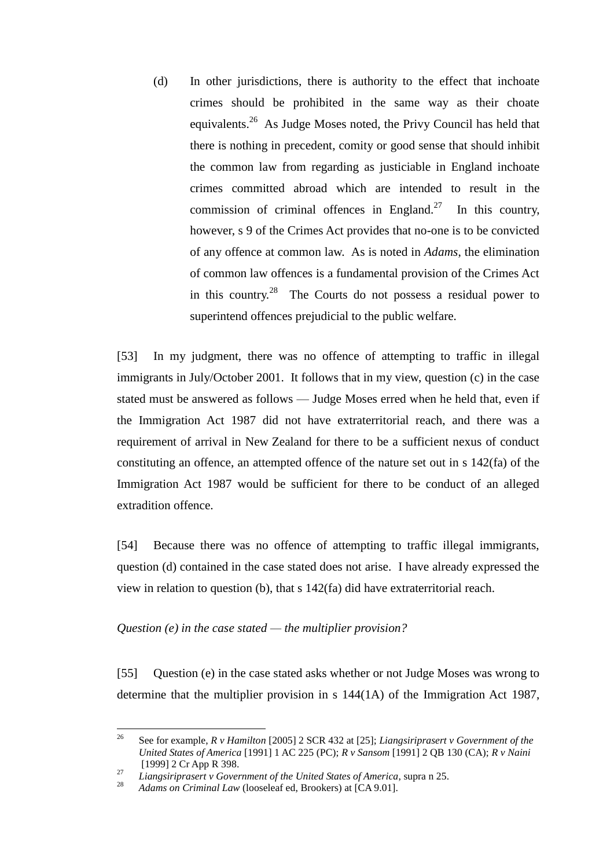(d) In other jurisdictions, there is authority to the effect that inchoate crimes should be prohibited in the same way as their choate equivalents.<sup>26</sup> As Judge Moses noted, the Privy Council has held that there is nothing in precedent, comity or good sense that should inhibit the common law from regarding as justiciable in England inchoate crimes committed abroad which are intended to result in the commission of criminal offences in England.<sup>27</sup> In this country, however, s 9 of the Crimes Act provides that no-one is to be convicted of any offence at common law. As is noted in *Adams*, the elimination of common law offences is a fundamental provision of the Crimes Act in this country.<sup>28</sup> The Courts do not possess a residual power to superintend offences prejudicial to the public welfare.

[53] In my judgment, there was no offence of attempting to traffic in illegal immigrants in July/October 2001. It follows that in my view, question (c) in the case stated must be answered as follows — Judge Moses erred when he held that, even if the Immigration Act 1987 did not have extraterritorial reach, and there was a requirement of arrival in New Zealand for there to be a sufficient nexus of conduct constituting an offence, an attempted offence of the nature set out in s 142(fa) of the Immigration Act 1987 would be sufficient for there to be conduct of an alleged extradition offence.

[54] Because there was no offence of attempting to traffic illegal immigrants, question (d) contained in the case stated does not arise. I have already expressed the view in relation to question (b), that s 142(fa) did have extraterritorial reach.

### *Question (e) in the case stated — the multiplier provision?*

[55] Question (e) in the case stated asks whether or not Judge Moses was wrong to determine that the multiplier provision in s 144(1A) of the Immigration Act 1987,

 $26$ <sup>26</sup> See for example, *R v Hamilton* [2005] 2 SCR 432 at [25]; *Liangsiriprasert v Government of the United States of America* [1991] 1 AC 225 (PC); *R v Sansom* [1991] 2 QB 130 (CA); *R v Naini* [1999] 2 Cr App R 398.

<sup>27</sup> *Liangsiriprasert v Government of the United States of America*, supra n 25.

Adams on Criminal Law (looseleaf ed, Brookers) at [CA 9.01].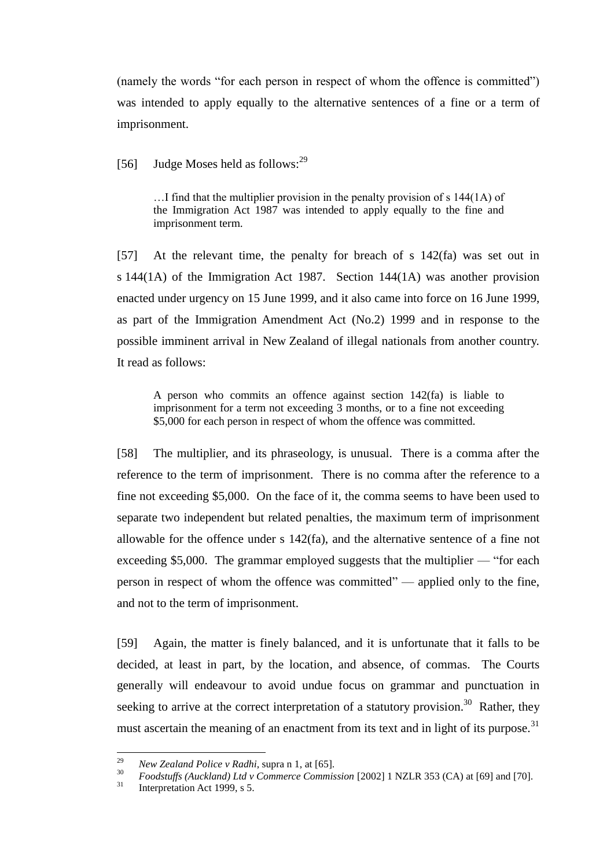(namely the words "for each person in respect of whom the offence is committed") was intended to apply equally to the alternative sentences of a fine or a term of imprisonment.

[56] Judge Moses held as follows: $^{29}$ 

…I find that the multiplier provision in the penalty provision of s 144(1A) of the Immigration Act 1987 was intended to apply equally to the fine and imprisonment term.

[57] At the relevant time, the penalty for breach of s 142(fa) was set out in s 144(1A) of the Immigration Act 1987. Section 144(1A) was another provision enacted under urgency on 15 June 1999, and it also came into force on 16 June 1999, as part of the Immigration Amendment Act (No.2) 1999 and in response to the possible imminent arrival in New Zealand of illegal nationals from another country. It read as follows:

A person who commits an offence against section 142(fa) is liable to imprisonment for a term not exceeding 3 months, or to a fine not exceeding \$5,000 for each person in respect of whom the offence was committed.

[58] The multiplier, and its phraseology, is unusual. There is a comma after the reference to the term of imprisonment. There is no comma after the reference to a fine not exceeding \$5,000. On the face of it, the comma seems to have been used to separate two independent but related penalties, the maximum term of imprisonment allowable for the offence under s 142(fa), and the alternative sentence of a fine not exceeding \$5,000. The grammar employed suggests that the multiplier — "for each person in respect of whom the offence was committed" — applied only to the fine, and not to the term of imprisonment.

[59] Again, the matter is finely balanced, and it is unfortunate that it falls to be decided, at least in part, by the location, and absence, of commas. The Courts generally will endeavour to avoid undue focus on grammar and punctuation in seeking to arrive at the correct interpretation of a statutory provision.<sup>30</sup> Rather, they must ascertain the meaning of an enactment from its text and in light of its purpose.<sup>31</sup>

<sup>29</sup> <sup>29</sup> *New Zealand Police v Radhi*, supra n 1, at [65].

<sup>&</sup>lt;sup>30</sup> *Foodstuffs (Auckland) Ltd v Commerce Commission* [2002] 1 NZLR 353 (CA) at [69] and [70].

Interpretation Act 1999, s 5.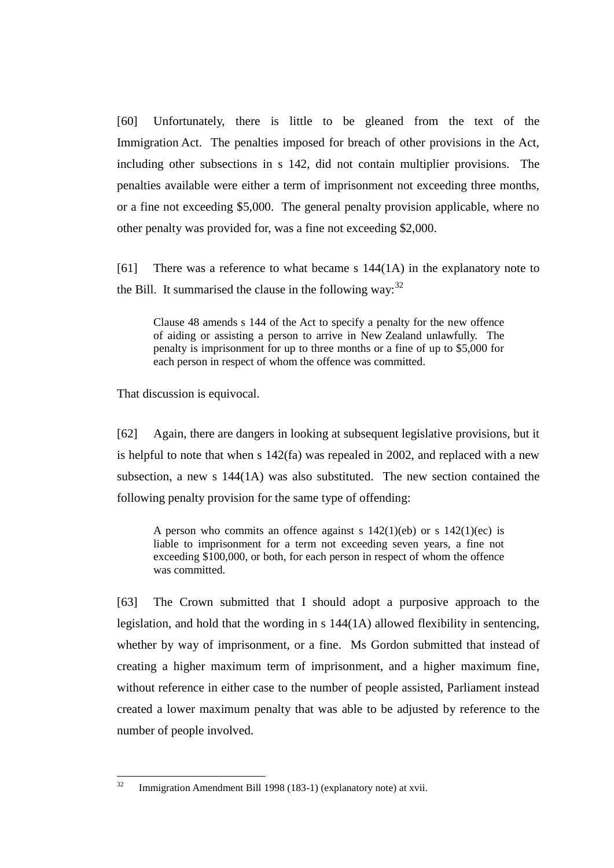[60] Unfortunately, there is little to be gleaned from the text of the Immigration Act. The penalties imposed for breach of other provisions in the Act, including other subsections in s 142, did not contain multiplier provisions. The penalties available were either a term of imprisonment not exceeding three months, or a fine not exceeding \$5,000. The general penalty provision applicable, where no other penalty was provided for, was a fine not exceeding \$2,000.

[61] There was a reference to what became s 144(1A) in the explanatory note to the Bill. It summarised the clause in the following way:  $32$ 

Clause 48 amends s 144 of the Act to specify a penalty for the new offence of aiding or assisting a person to arrive in New Zealand unlawfully. The penalty is imprisonment for up to three months or a fine of up to \$5,000 for each person in respect of whom the offence was committed.

That discussion is equivocal.

[62] Again, there are dangers in looking at subsequent legislative provisions, but it is helpful to note that when s 142(fa) was repealed in 2002, and replaced with a new subsection, a new s 144(1A) was also substituted. The new section contained the following penalty provision for the same type of offending:

A person who commits an offence against s  $142(1)(eb)$  or s  $142(1)(ec)$  is liable to imprisonment for a term not exceeding seven years, a fine not exceeding \$100,000, or both, for each person in respect of whom the offence was committed.

[63] The Crown submitted that I should adopt a purposive approach to the legislation, and hold that the wording in s 144(1A) allowed flexibility in sentencing, whether by way of imprisonment, or a fine. Ms Gordon submitted that instead of creating a higher maximum term of imprisonment, and a higher maximum fine, without reference in either case to the number of people assisted, Parliament instead created a lower maximum penalty that was able to be adjusted by reference to the number of people involved.

 $32$ Immigration Amendment Bill 1998 (183-1) (explanatory note) at xvii.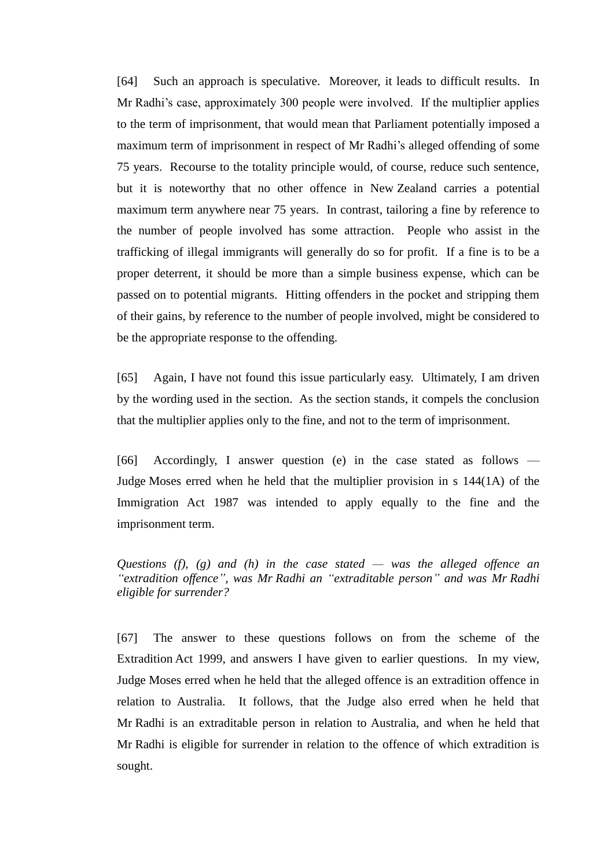[64] Such an approach is speculative. Moreover, it leads to difficult results. In Mr Radhi's case, approximately 300 people were involved. If the multiplier applies to the term of imprisonment, that would mean that Parliament potentially imposed a maximum term of imprisonment in respect of Mr Radhi's alleged offending of some 75 years. Recourse to the totality principle would, of course, reduce such sentence, but it is noteworthy that no other offence in New Zealand carries a potential maximum term anywhere near 75 years. In contrast, tailoring a fine by reference to the number of people involved has some attraction. People who assist in the trafficking of illegal immigrants will generally do so for profit. If a fine is to be a proper deterrent, it should be more than a simple business expense, which can be passed on to potential migrants. Hitting offenders in the pocket and stripping them of their gains, by reference to the number of people involved, might be considered to be the appropriate response to the offending.

[65] Again, I have not found this issue particularly easy. Ultimately, I am driven by the wording used in the section. As the section stands, it compels the conclusion that the multiplier applies only to the fine, and not to the term of imprisonment.

[66] Accordingly, I answer question (e) in the case stated as follows — Judge Moses erred when he held that the multiplier provision in s 144(1A) of the Immigration Act 1987 was intended to apply equally to the fine and the imprisonment term.

*Questions (f), (g) and (h) in the case stated — was the alleged offence an "extradition offence", was Mr Radhi an "extraditable person" and was Mr Radhi eligible for surrender?*

[67] The answer to these questions follows on from the scheme of the Extradition Act 1999, and answers I have given to earlier questions. In my view, Judge Moses erred when he held that the alleged offence is an extradition offence in relation to Australia. It follows, that the Judge also erred when he held that Mr Radhi is an extraditable person in relation to Australia, and when he held that Mr Radhi is eligible for surrender in relation to the offence of which extradition is sought.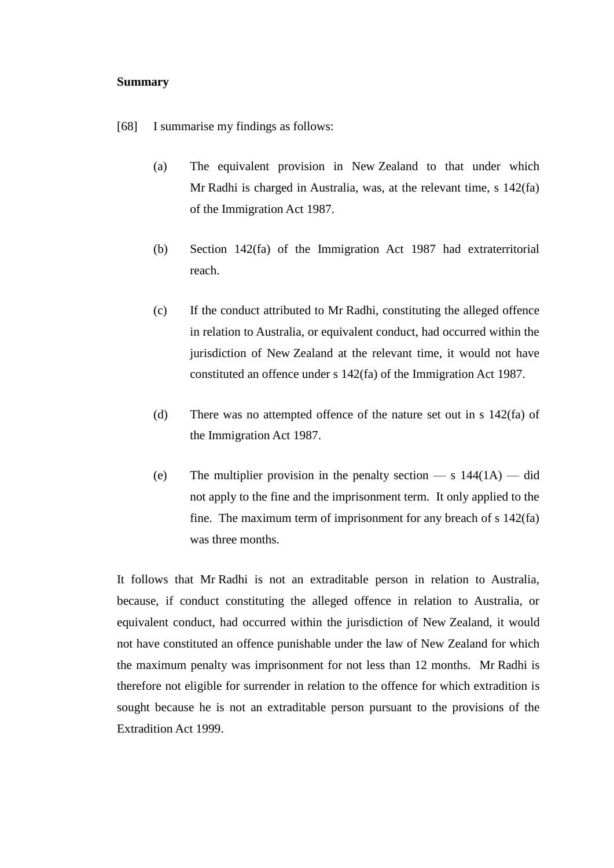#### **Summary**

[68] I summarise my findings as follows:

- (a) The equivalent provision in New Zealand to that under which Mr Radhi is charged in Australia, was, at the relevant time, s 142(fa) of the Immigration Act 1987.
- (b) Section 142(fa) of the Immigration Act 1987 had extraterritorial reach.
- (c) If the conduct attributed to Mr Radhi, constituting the alleged offence in relation to Australia, or equivalent conduct, had occurred within the jurisdiction of New Zealand at the relevant time, it would not have constituted an offence under s 142(fa) of the Immigration Act 1987.
- (d) There was no attempted offence of the nature set out in s 142(fa) of the Immigration Act 1987.
- (e) The multiplier provision in the penalty section  $-$  s  $144(1A)$   $-$  did not apply to the fine and the imprisonment term. It only applied to the fine. The maximum term of imprisonment for any breach of s 142(fa) was three months.

It follows that Mr Radhi is not an extraditable person in relation to Australia, because, if conduct constituting the alleged offence in relation to Australia, or equivalent conduct, had occurred within the jurisdiction of New Zealand, it would not have constituted an offence punishable under the law of New Zealand for which the maximum penalty was imprisonment for not less than 12 months. Mr Radhi is therefore not eligible for surrender in relation to the offence for which extradition is sought because he is not an extraditable person pursuant to the provisions of the Extradition Act 1999.